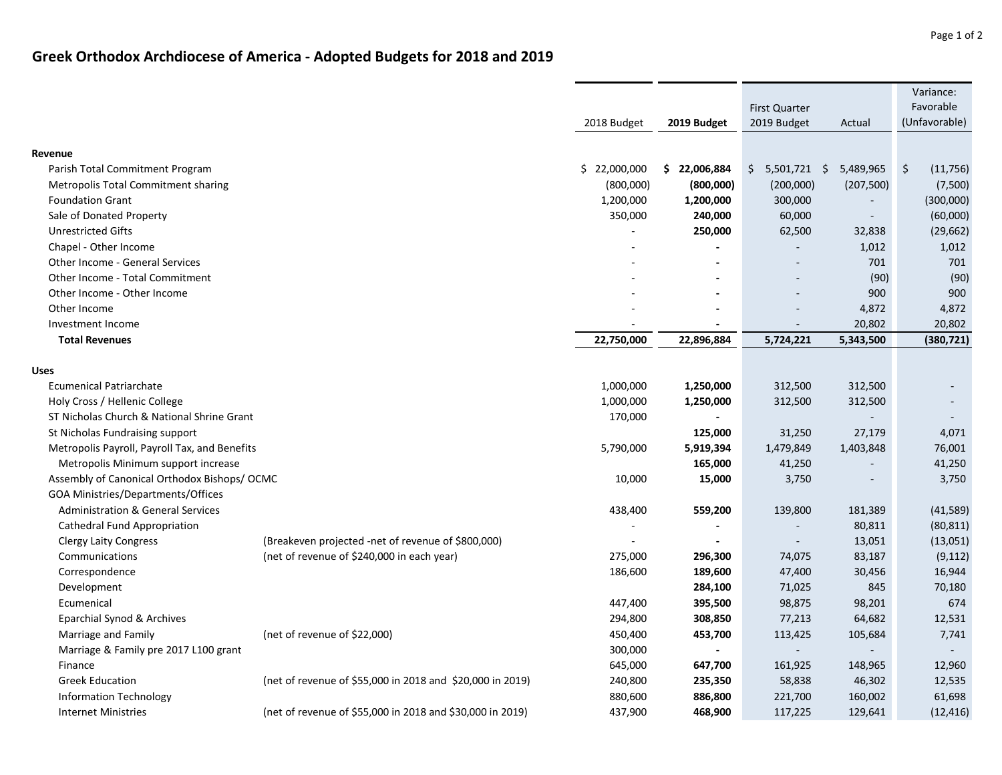## **Greek Orthodox Archdiocese of America ‐ Adopted Budgets for 2018 and 2019**

|                                               |                                                           |              |                   |                          |            | Variance:                       |
|-----------------------------------------------|-----------------------------------------------------------|--------------|-------------------|--------------------------|------------|---------------------------------|
|                                               |                                                           |              |                   | <b>First Quarter</b>     |            | Favorable                       |
|                                               |                                                           | 2018 Budget  | 2019 Budget       | 2019 Budget              | Actual     | (Unfavorable)                   |
| Revenue                                       |                                                           |              |                   |                          |            |                                 |
| Parish Total Commitment Program               |                                                           | \$22,000,000 | 22,006,884<br>\$. | $5,501,721$ \$<br>\$     | 5,489,965  | $\ddot{\varsigma}$<br>(11, 756) |
| Metropolis Total Commitment sharing           |                                                           | (800,000)    | (800,000)         | (200,000)                | (207, 500) | (7,500)                         |
| <b>Foundation Grant</b>                       |                                                           | 1,200,000    | 1,200,000         | 300,000                  |            | (300,000)                       |
| Sale of Donated Property                      |                                                           | 350,000      | 240,000           | 60,000                   |            | (60,000)                        |
| <b>Unrestricted Gifts</b>                     |                                                           |              | 250,000           | 62,500                   | 32,838     | (29, 662)                       |
| Chapel - Other Income                         |                                                           |              |                   |                          | 1,012      | 1,012                           |
| Other Income - General Services               |                                                           |              |                   |                          | 701        | 701                             |
| Other Income - Total Commitment               |                                                           |              |                   |                          | (90)       | (90)                            |
| Other Income - Other Income                   |                                                           |              |                   |                          | 900        | 900                             |
| Other Income                                  |                                                           |              |                   | L.                       | 4,872      | 4,872                           |
| Investment Income                             |                                                           |              |                   | $\overline{\phantom{a}}$ | 20,802     | 20,802                          |
| <b>Total Revenues</b>                         |                                                           | 22,750,000   | 22,896,884        | 5,724,221                | 5,343,500  | (380, 721)                      |
|                                               |                                                           |              |                   |                          |            |                                 |
| <b>Uses</b>                                   |                                                           |              |                   |                          |            |                                 |
| <b>Ecumenical Patriarchate</b>                |                                                           | 1,000,000    | 1,250,000         | 312,500                  | 312,500    |                                 |
| Holy Cross / Hellenic College                 |                                                           | 1,000,000    | 1,250,000         | 312,500                  | 312,500    |                                 |
| ST Nicholas Church & National Shrine Grant    |                                                           | 170,000      |                   |                          |            |                                 |
| St Nicholas Fundraising support               |                                                           |              | 125,000           | 31,250                   | 27,179     | 4,071                           |
| Metropolis Payroll, Payroll Tax, and Benefits |                                                           | 5,790,000    | 5,919,394         | 1,479,849                | 1,403,848  | 76,001                          |
| Metropolis Minimum support increase           |                                                           |              | 165,000           | 41,250                   |            | 41,250                          |
| Assembly of Canonical Orthodox Bishops/ OCMC  |                                                           | 10,000       | 15,000            | 3,750                    |            | 3,750                           |
| GOA Ministries/Departments/Offices            |                                                           |              |                   |                          |            |                                 |
| <b>Administration &amp; General Services</b>  |                                                           | 438,400      | 559,200           | 139,800                  | 181,389    | (41, 589)                       |
| Cathedral Fund Appropriation                  |                                                           |              | $\blacksquare$    | $\blacksquare$           | 80,811     | (80, 811)                       |
| <b>Clergy Laity Congress</b>                  | (Breakeven projected -net of revenue of \$800,000)        |              |                   | $\sim$                   | 13,051     | (13,051)                        |
| Communications                                | (net of revenue of \$240,000 in each year)                | 275,000      | 296,300           | 74,075                   | 83,187     | (9, 112)                        |
| Correspondence                                |                                                           | 186,600      | 189,600           | 47,400                   | 30,456     | 16,944                          |
| Development                                   |                                                           |              | 284,100           | 71,025                   | 845        | 70,180                          |
| Ecumenical                                    |                                                           | 447,400      | 395,500           | 98,875                   | 98,201     | 674                             |
| Eparchial Synod & Archives                    |                                                           | 294,800      | 308,850           | 77,213                   | 64,682     | 12,531                          |
| Marriage and Family                           | (net of revenue of \$22,000)                              | 450,400      | 453,700           | 113,425                  | 105,684    | 7,741                           |
| Marriage & Family pre 2017 L100 grant         |                                                           | 300,000      |                   | $\omega$                 |            |                                 |
| Finance                                       |                                                           | 645,000      | 647,700           | 161,925                  | 148,965    | 12,960                          |
| <b>Greek Education</b>                        | (net of revenue of \$55,000 in 2018 and \$20,000 in 2019) | 240,800      | 235,350           | 58,838                   | 46,302     | 12,535                          |
| <b>Information Technology</b>                 |                                                           | 880,600      | 886,800           | 221,700                  | 160,002    | 61,698                          |
| <b>Internet Ministries</b>                    | (net of revenue of \$55,000 in 2018 and \$30,000 in 2019) | 437,900      | 468,900           | 117,225                  | 129,641    | (12, 416)                       |